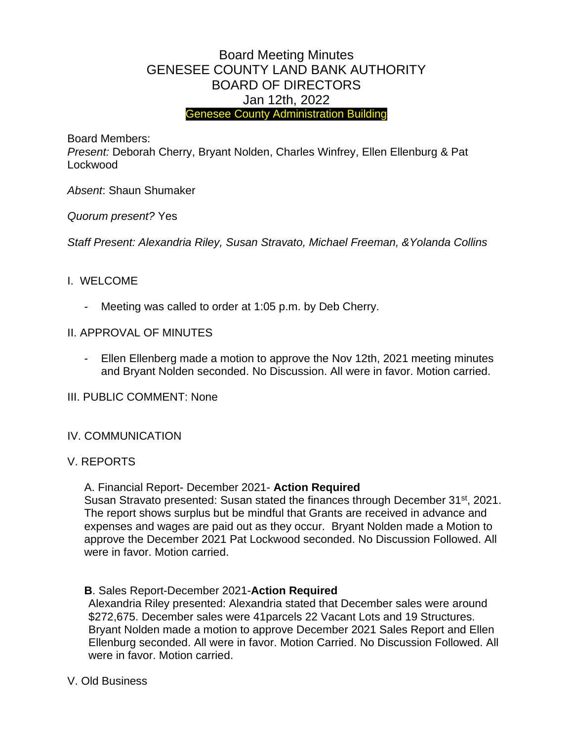# Board Meeting Minutes GENESEE COUNTY LAND BANK AUTHORITY BOARD OF DIRECTORS Jan 12th, 2022 Genesee County Administration Building

Board Members:

*Present:* Deborah Cherry, Bryant Nolden, Charles Winfrey, Ellen Ellenburg & Pat Lockwood

*Absent*: Shaun Shumaker

*Quorum present?* Yes

*Staff Present: Alexandria Riley, Susan Stravato, Michael Freeman, &Yolanda Collins*

### I. WELCOME

- Meeting was called to order at 1:05 p.m. by Deb Cherry.
- II. APPROVAL OF MINUTES
	- Ellen Ellenberg made a motion to approve the Nov 12th, 2021 meeting minutes and Bryant Nolden seconded. No Discussion. All were in favor. Motion carried.
- III. PUBLIC COMMENT: None

# IV. COMMUNICATION

#### V. REPORTS

A. Financial Report- December 2021- **Action Required**

Susan Stravato presented: Susan stated the finances through December 31st, 2021. The report shows surplus but be mindful that Grants are received in advance and expenses and wages are paid out as they occur. Bryant Nolden made a Motion to approve the December 2021 Pat Lockwood seconded. No Discussion Followed. All were in favor. Motion carried.

**B**. Sales Report-December 2021-**Action Required**

Alexandria Riley presented: Alexandria stated that December sales were around \$272,675. December sales were 41parcels 22 Vacant Lots and 19 Structures. Bryant Nolden made a motion to approve December 2021 Sales Report and Ellen Ellenburg seconded. All were in favor. Motion Carried. No Discussion Followed. All were in favor. Motion carried.

V. Old Business